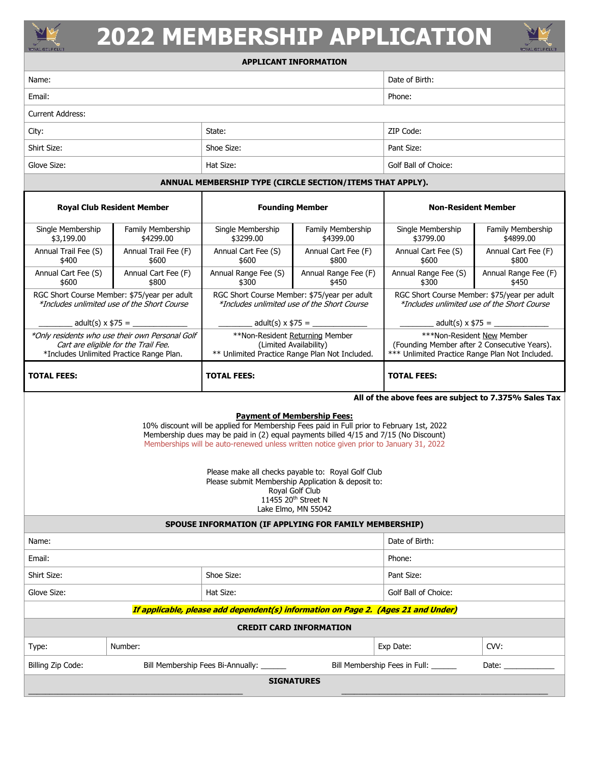

## **2022 MEMBERSHIP APPLICATION**



## **APPLICANT INFORMATION**

| Name:                                                     |            | Date of Birth:       |  |
|-----------------------------------------------------------|------------|----------------------|--|
| Email:                                                    |            | Phone:               |  |
| <b>Current Address:</b>                                   |            |                      |  |
| City:                                                     | State:     | ZIP Code:            |  |
| Shirt Size:                                               | Shoe Size: | Pant Size:           |  |
| Glove Size:                                               | Hat Size:  | Golf Ball of Choice: |  |
| ANNUAL MEMBERSHIP TYPE (CIRCLE SECTION/ITEMS THAT APPLY). |            |                      |  |

| <b>Royal Club Resident Member</b>                                                |                                                 | <b>Founding Member</b>                                                                                      |                      | <b>Non-Resident Member</b>                                                                                                    |                      |
|----------------------------------------------------------------------------------|-------------------------------------------------|-------------------------------------------------------------------------------------------------------------|----------------------|-------------------------------------------------------------------------------------------------------------------------------|----------------------|
| Single Membership                                                                | Family Membership                               | Single Membership                                                                                           | Family Membership    | Single Membership                                                                                                             | Family Membership    |
| \$3,199.00                                                                       | \$4299.00                                       | \$3299.00                                                                                                   | \$4399.00            | \$3799.00                                                                                                                     | \$4899.00            |
| Annual Trail Fee (S)                                                             | Annual Trail Fee (F)                            | Annual Cart Fee (S)                                                                                         | Annual Cart Fee (F)  | Annual Cart Fee (S)                                                                                                           | Annual Cart Fee (F)  |
| \$400                                                                            | \$600                                           | \$600                                                                                                       | \$800                | \$600                                                                                                                         | \$800                |
| Annual Cart Fee (S)                                                              | Annual Cart Fee (F)                             | Annual Range Fee (S)                                                                                        | Annual Range Fee (F) | Annual Range Fee (S)                                                                                                          | Annual Range Fee (F) |
| \$600                                                                            | \$800                                           | \$300                                                                                                       | \$450                | \$300                                                                                                                         | \$450                |
| RGC Short Course Member: \$75/year per adult                                     |                                                 | RGC Short Course Member: \$75/year per adult                                                                |                      | RGC Short Course Member: \$75/year per adult                                                                                  |                      |
| *Includes unlimited use of the Short Course                                      |                                                 | <i>*Includes unlimited use of the Short Course</i>                                                          |                      | *Includes unlimited use of the Short Course                                                                                   |                      |
|                                                                                  | . adult(s) x \$75 = _______________             |                                                                                                             |                      | _ adult(s) x \$75 = ____________                                                                                              |                      |
| Cart are eligible for the Trail Fee.<br>*Includes Unlimited Practice Range Plan. | *Only residents who use their own Personal Golf | **Non-Resident Returning Member<br>(Limited Availability)<br>** Unlimited Practice Range Plan Not Included. |                      | ***Non-Resident New Member<br>(Founding Member after 2 Consecutive Years).<br>*** Unlimited Practice Range Plan Not Included. |                      |
| <b>TOTAL FEES:</b>                                                               |                                                 | <b>TOTAL FEES:</b>                                                                                          |                      | <b>TOTAL FEES:</b>                                                                                                            |                      |

**All of the above fees are subject to 7.375% Sales Tax**

**Payment of Membership Fees:**

10% discount will be applied for Membership Fees paid in Full prior to February 1st, 2022 Membership dues may be paid in (2) equal payments billed 4/15 and 7/15 (No Discount) Memberships will be auto-renewed unless written notice given prior to January 31, 2022

> Please make all checks payable to: Royal Golf Club Please submit Membership Application & deposit to: Royal Golf Club 11455 20<sup>th</sup> Street N Lake Elmo, MN 55042

| SPOUSE INFORMATION (IF APPLYING FOR FAMILY MEMBERSHIP)                            |         |                                   |  |                               |       |
|-----------------------------------------------------------------------------------|---------|-----------------------------------|--|-------------------------------|-------|
| Name:                                                                             |         | Date of Birth:                    |  |                               |       |
| Email:                                                                            |         | Phone:                            |  |                               |       |
| Shirt Size:                                                                       |         | Shoe Size:                        |  | Pant Size:                    |       |
| Glove Size:                                                                       |         | Hat Size:                         |  | Golf Ball of Choice:          |       |
| If applicable, please add dependent(s) information on Page 2. (Ages 21 and Under) |         |                                   |  |                               |       |
| <b>CREDIT CARD INFORMATION</b>                                                    |         |                                   |  |                               |       |
| Type:                                                                             | Number: |                                   |  | Exp Date:                     | CVV:  |
| Billing Zip Code:                                                                 |         | Bill Membership Fees Bi-Annually: |  | Bill Membership Fees in Full: | Date: |
| <b>SIGNATURES</b>                                                                 |         |                                   |  |                               |       |